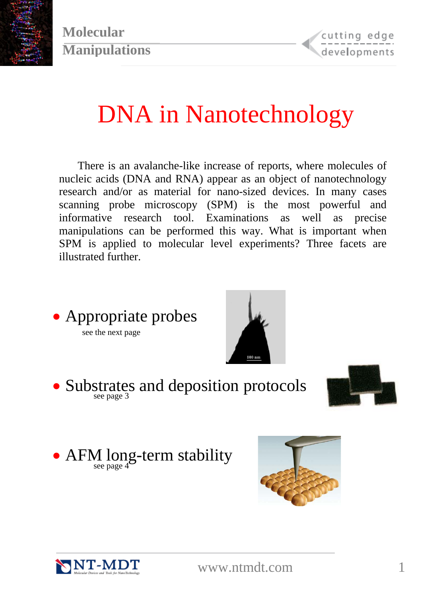

# DNA in Nanotechnology

There is an avalanche-like increase of reports, where molecules of nucleic acids (DNA and RNA) appear as an object of nanotechnology research and/or as material for nano-sized devices. In many cases scanning probe microscopy (SPM) is the most powerful and informative research tool. Examinations as well as precise manipulations can be performed this way. What is important when SPM is applied to molecular level experiments? Three facets are illustrated further.



 $\frac{22}{\pi}$  see page 3



• AFM long-term stability see page 4<sup>°</sup>





<www.ntmdt.com>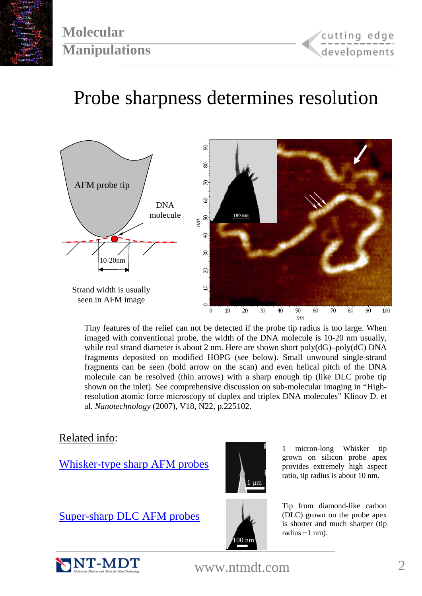

### Probe sharpness determines resolution



Tiny features of the relief can not be detected if the probe tip radius is too large. When imaged with conventional probe, the width of the DNA molecule is 10-20 nm usually, while real strand diameter is about 2 nm. Here are shown short poly(dG)–poly(dC) DNA fragments deposited on modified HOPG (see below). Small unwound single-strand fragments can be seen (bold arrow on the scan) and even helical pitch of the DNA molecule can be resolved (thin arrows) with a sharp enough tip (like DLC probe tip shown on the inlet). See comprehensive discussion on sub-molecular imaging in "Highresolution atomic force microscopy of duplex and triplex DNA molecules" Klinov D. et al. *Nanotechnology* (2007), V18, N22, p.225102.

#### Related info:

[Whisker-type sharp AFM probes](http://www.ntmdt-tips.com/catalog/wt.html)



1 micron-long Whisker tip grown on silicon probe apex provides extremely high aspect ratio, tip radius is about 10 nm.

[Super-sharp DLC AFM probes](http://www.ntmdt-tips.com/catalog/dlc/products.html)



Tip from diamond-like carbon (DLC) grown on the probe apex is shorter and much sharper (tip radius  $\sim$ 1 nm).



<www.ntmdt.com>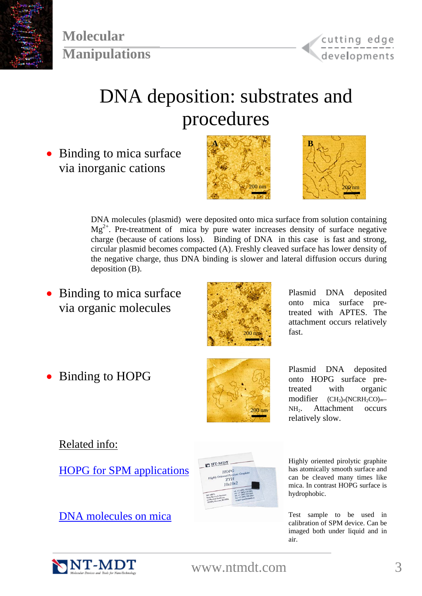

## DNA deposition: substrates and procedures

• Binding to mica surface via inorganic cations





DNA molecules (plasmid) were deposited onto mica surface from solution containing  $Mg^{2+}$ . Pre-treatment of mica by pure water increases density of surface negative charge (because of cations loss). Binding of DNA in this case is fast and strong, circular plasmid becomes compacted (A). Freshly cleaved surface has lower density of the negative charge, thus DNA binding is slower and lateral diffusion occurs during deposition (B).

• Binding to mica surface via organic molecules



Plasmid DNA deposited onto mica surface pretreated with APTES. The attachment occurs relatively fast.



• Binding to HOPG Plasmid DNA deposited<br>
Figure 2016 Plasmid DNA deposited<br>
Figure 300 Plasmid DNA deposited<br>
Plasmid DNA deposited onto HOPG surface pretreated with organic modifier  $(CH_2)_n(NCRH_2CO)_{m-}$ NH2. Attachment occurs relatively slow.

#### Related info:

[HOPG for SPM applications](http://www.ntmdt-tips.com/catalog/hopg.html)



Highly oriented pirolytic graphite has atomically smooth surface and can be cleaved many times like mica. In contrast HOPG surface is hydrophobic.

calibration of SPM device. Can be imaged both under liquid and in air.

[DNA molecules on mica](http://www.ntmdt-tips.com/catalog/test_s/products/DNA01.html) Test sample to be used in